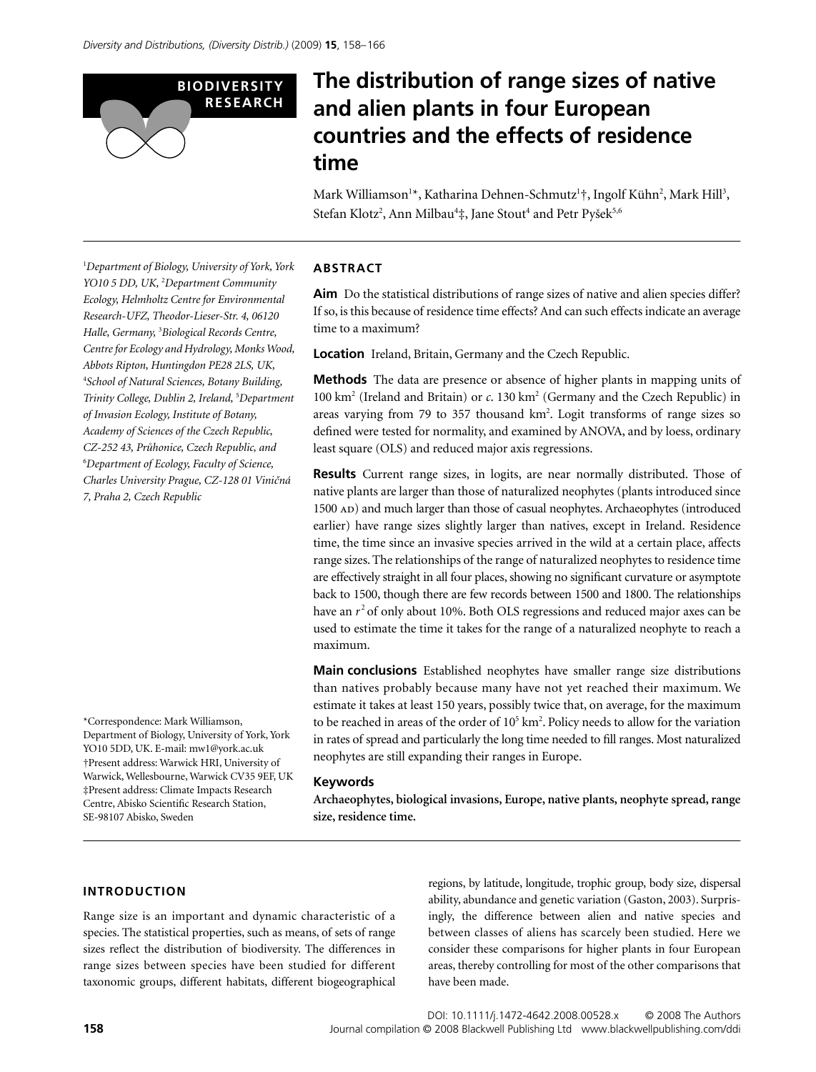

# **The distribution of range sizes of native and alien plants in four European countries and the effects of residence time**

Mark Williamson<sup>1\*</sup>, Katharina Dehnen-Schmutz<sup>1</sup>†, Ingolf Kühn<sup>2</sup>, Mark Hill<sup>3</sup>, Stefan Klotz<sup>2</sup>, Ann Milbau<sup>4</sup>‡, Jane Stout<sup>4</sup> and Petr Pyšek<sup>5,6</sup>

1 *Department of Biology, University of York, York YO10 5 DD, UK,* <sup>2</sup> *Department Community Ecology, Helmholtz Centre for Environmental Research-UFZ, Theodor-Lieser-Str. 4, 06120 Halle, Germany,* <sup>3</sup> *Biological Records Centre, Centre for Ecology and Hydrology, Monks Wood, Abbots Ripton, Huntingdon PE28 2LS, UK,*  4 *School of Natural Sciences, Botany Building, Trinity College, Dublin 2, Ireland,* <sup>5</sup> *Department of Invasion Ecology, Institute of Botany, Academy of Sciences of the Czech Republic, CZ-252 43, Pr*u*honice, Czech Republic, and*  6 *Department of Ecology, Faculty of Science, Charles University Prague, CZ-128 01 Vini*c*ná 7, Praha 2, Czech Republic*

\*Correspondence: Mark Williamson, Department of Biology, University of York, York YO10 5DD, UK. E-mail: mw1@york.ac.uk †Present address: Warwick HRI, University of Warwick, Wellesbourne, Warwick CV35 9EF, UK ‡Present address: Climate Impacts Research Centre, Abisko Scientific Research Station, SE-98107 Abisko, Sweden

#### **ABSTRACT**

**Aim** Do the statistical distributions of range sizes of native and alien species differ? If so, is this because of residence time effects? And can such effects indicate an average time to a maximum?

**Location** Ireland, Britain, Germany and the Czech Republic.

**Methods** The data are presence or absence of higher plants in mapping units of 100 km<sup>2</sup> (Ireland and Britain) or *c*. 130 km<sup>2</sup> (Germany and the Czech Republic) in areas varying from 79 to 357 thousand km<sup>2</sup>. Logit transforms of range sizes so defined were tested for normality, and examined by ANOVA, and by loess, ordinary least square (OLS) and reduced major axis regressions.

**Results** Current range sizes, in logits, are near normally distributed. Those of native plants are larger than those of naturalized neophytes (plants introduced since 1500 AD) and much larger than those of casual neophytes. Archaeophytes (introduced earlier) have range sizes slightly larger than natives, except in Ireland. Residence time, the time since an invasive species arrived in the wild at a certain place, affects range sizes. The relationships of the range of naturalized neophytes to residence time are effectively straight in all four places, showing no significant curvature or asymptote back to 1500, though there are few records between 1500 and 1800. The relationships have an  $r^2$  of only about 10%. Both OLS regressions and reduced major axes can be used to estimate the time it takes for the range of a naturalized neophyte to reach a maximum.

**Main conclusions** Established neophytes have smaller range size distributions than natives probably because many have not yet reached their maximum. We estimate it takes at least 150 years, possibly twice that, on average, for the maximum to be reached in areas of the order of  $10^5$  km<sup>2</sup>. Policy needs to allow for the variation in rates of spread and particularly the long time needed to fill ranges. Most naturalized neophytes are still expanding their ranges in Europe.

#### **Keywords**

**Archaeophytes, biological invasions, Europe, native plants, neophyte spread, range size, residence time.**

## **INTRODUCTION**

Range size is an important and dynamic characteristic of a species. The statistical properties, such as means, of sets of range sizes reflect the distribution of biodiversity. The differences in range sizes between species have been studied for different taxonomic groups, different habitats, different biogeographical

regions, by latitude, longitude, trophic group, body size, dispersal ability, abundance and genetic variation (Gaston, 2003). Surprisingly, the difference between alien and native species and between classes of aliens has scarcely been studied. Here we consider these comparisons for higher plants in four European areas, thereby controlling for most of the other comparisons that have been made.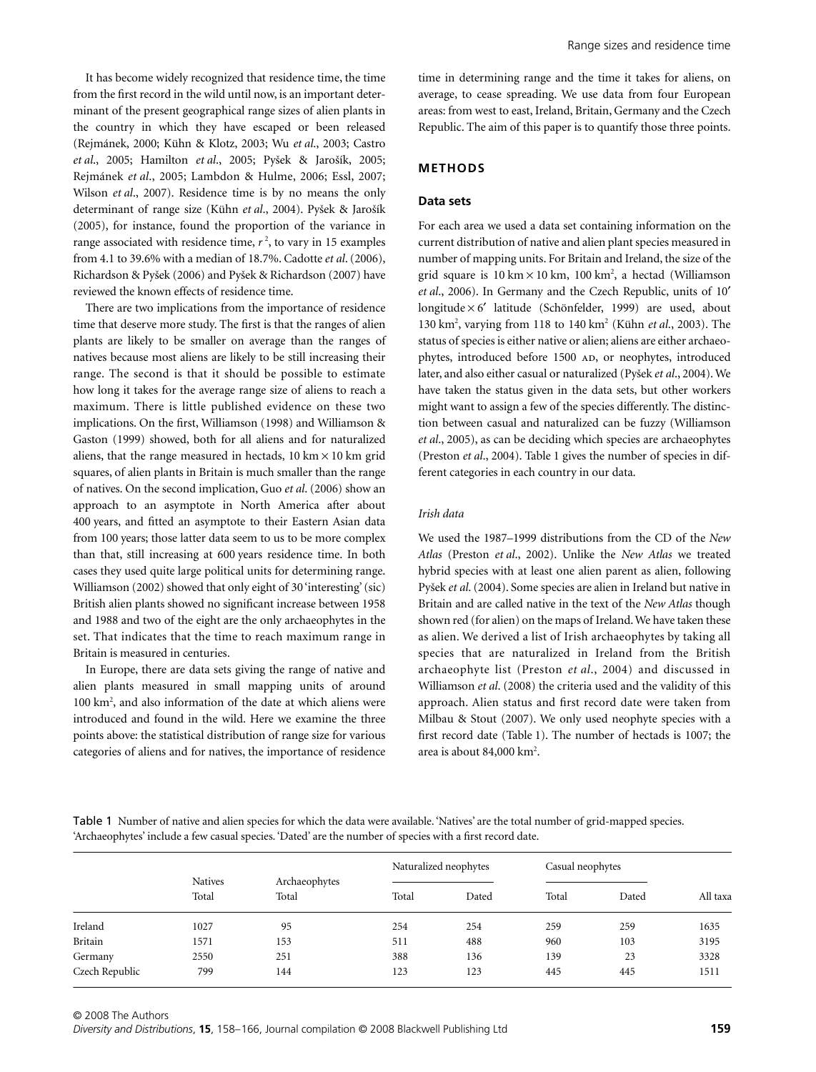It has become widely recognized that residence time, the time from the first record in the wild until now, is an important determinant of the present geographical range sizes of alien plants in the country in which they have escaped or been released (Rejmánek, 2000; Kühn & Klotz, 2003; Wu *et al*., 2003; Castro *et al*., 2005; Hamilton *et al*., 2005; Py*Í*ek & Jaro*Í*ík, 2005; Rejmánek *et al*., 2005; Lambdon & Hulme, 2006; Essl, 2007; Wilson *et al*., 2007). Residence time is by no means the only determinant of range size (Kühn *et al*., 2004). Py*Í*ek & Jaro*Í*ík (2005), for instance, found the proportion of the variance in range associated with residence time,  $r^2$ , to vary in 15 examples from 4.1 to 39.6% with a median of 18.7%. Cadotte *et al*. (2006), Richardson & Py*Í*ek (2006) and Py*Í*ek & Richardson (2007) have reviewed the known effects of residence time.

There are two implications from the importance of residence time that deserve more study. The first is that the ranges of alien plants are likely to be smaller on average than the ranges of natives because most aliens are likely to be still increasing their range. The second is that it should be possible to estimate how long it takes for the average range size of aliens to reach a maximum. There is little published evidence on these two implications. On the first, Williamson (1998) and Williamson & Gaston (1999) showed, both for all aliens and for naturalized aliens, that the range measured in hectads,  $10 \text{ km} \times 10 \text{ km}$  grid squares, of alien plants in Britain is much smaller than the range of natives. On the second implication, Guo *et al*. (2006) show an approach to an asymptote in North America after about 400 years, and fitted an asymptote to their Eastern Asian data from 100 years; those latter data seem to us to be more complex than that, still increasing at 600 years residence time. In both cases they used quite large political units for determining range. Williamson (2002) showed that only eight of 30 'interesting' (sic) British alien plants showed no significant increase between 1958 and 1988 and two of the eight are the only archaeophytes in the set. That indicates that the time to reach maximum range in Britain is measured in centuries.

In Europe, there are data sets giving the range of native and alien plants measured in small mapping units of around 100 km<sup>2</sup>, and also information of the date at which aliens were introduced and found in the wild. Here we examine the three points above: the statistical distribution of range size for various categories of aliens and for natives, the importance of residence time in determining range and the time it takes for aliens, on average, to cease spreading. We use data from four European areas: from west to east, Ireland, Britain, Germany and the Czech Republic. The aim of this paper is to quantify those three points.

#### **METHODS**

#### **Data sets**

For each area we used a data set containing information on the current distribution of native and alien plant species measured in number of mapping units. For Britain and Ireland, the size of the grid square is  $10 \text{ km} \times 10 \text{ km}$ ,  $100 \text{ km}^2$ , a hectad (Williamson *et al*., 2006). In Germany and the Czech Republic, units of 10′ longitude × 6′ latitude (Schönfelder, 1999) are used, about 130 km2 , varying from 118 to 140 km2 (Kühn *et al*., 2003). The status of species is either native or alien; aliens are either archaeophytes, introduced before 1500 AD, or neophytes, introduced later, and also either casual or naturalized (Py*Í*ek *et al*., 2004). We have taken the status given in the data sets, but other workers might want to assign a few of the species differently. The distinction between casual and naturalized can be fuzzy (Williamson *et al*., 2005), as can be deciding which species are archaeophytes (Preston *et al*., 2004). Table 1 gives the number of species in different categories in each country in our data.

#### *Irish data*

We used the 1987–1999 distributions from the CD of the *New Atlas* (Preston *et al*., 2002). Unlike the *New Atlas* we treated hybrid species with at least one alien parent as alien, following Py*Í*ek *et al*. (2004). Some species are alien in Ireland but native in Britain and are called native in the text of the *New Atlas* though shown red (for alien) on the maps of Ireland. We have taken these as alien. We derived a list of Irish archaeophytes by taking all species that are naturalized in Ireland from the British archaeophyte list (Preston *et al*., 2004) and discussed in Williamson *et al*. (2008) the criteria used and the validity of this approach. Alien status and first record date were taken from Milbau & Stout (2007). We only used neophyte species with a first record date (Table 1). The number of hectads is 1007; the area is about 84,000 km<sup>2</sup>.

Table 1 Number of native and alien species for which the data were available. 'Natives' are the total number of grid-mapped species. 'Archaeophytes' include a few casual species. 'Dated' are the number of species with a first record date.

|                |                         |                        | Naturalized neophytes<br>Casual neophytes |       |       |       |          |
|----------------|-------------------------|------------------------|-------------------------------------------|-------|-------|-------|----------|
|                | <b>Natives</b><br>Total | Archaeophytes<br>Total | Total                                     | Dated | Total | Dated | All taxa |
| Ireland        | 1027                    | 95                     | 254                                       | 254   | 259   | 259   | 1635     |
| Britain        | 1571                    | 153                    | 511                                       | 488   | 960   | 103   | 3195     |
| Germany        | 2550                    | 251                    | 388                                       | 136   | 139   | 23    | 3328     |
| Czech Republic | 799                     | 144                    | 123                                       | 123   | 445   | 445   | 1511     |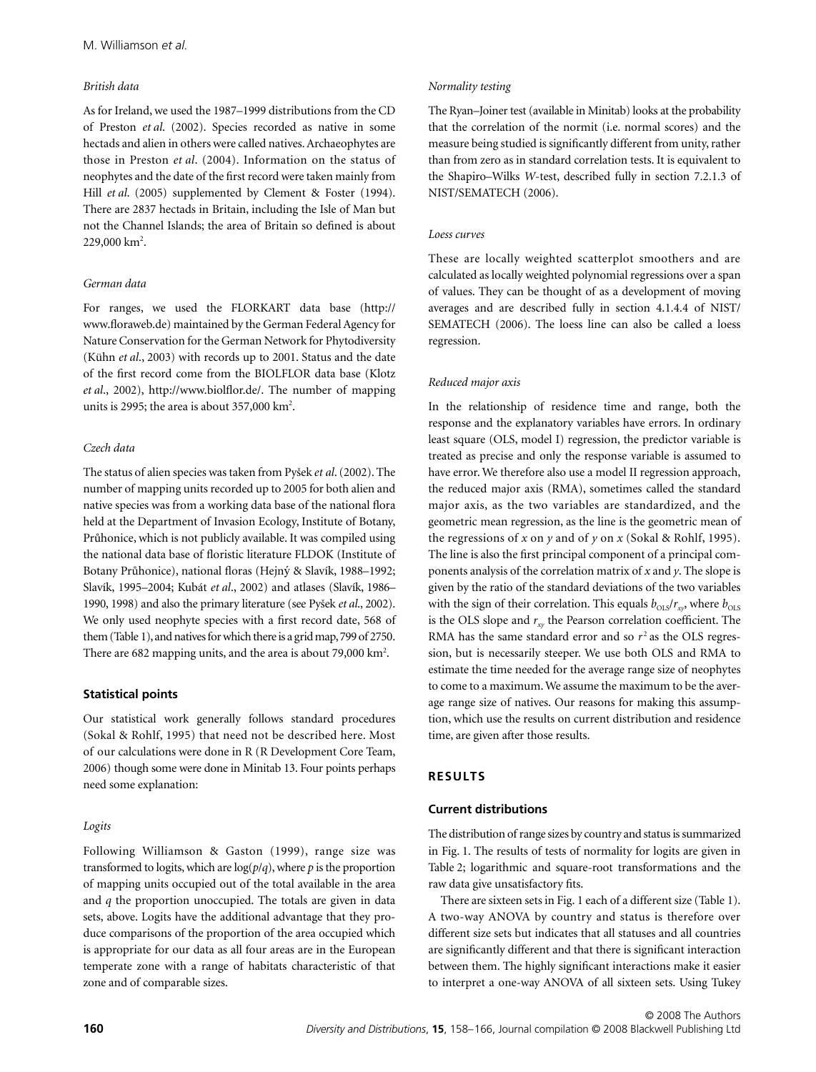### *British data*

As for Ireland, we used the 1987–1999 distributions from the CD of Preston *et al*. (2002). Species recorded as native in some hectads and alien in others were called natives. Archaeophytes are those in Preston *et al*. (2004). Information on the status of neophytes and the date of the first record were taken mainly from Hill *et al.* (2005) supplemented by Clement & Foster (1994). There are 2837 hectads in Britain, including the Isle of Man but not the Channel Islands; the area of Britain so defined is about  $229,000 \mathrm{~km}^2$ .

## *German data*

For ranges, we used the FLORKART data base (http:// [www.floraweb.de\) maintained by the German Federal Agency for](http://www.floraweb.de) Nature Conservation for the German Network for Phytodiversity (Kühn *et al*., 2003) with records up to 2001. Status and the date of the first record come from the BIOLFLOR data base (Klotz *et al*., 2002), [http://www.biolflor.de/.](http://www.biolflor.de/) The number of mapping units is 2995; the area is about 357,000  $\text{km}^2$ .

# *Czech data*

The status of alien species was taken from Py*Í*ek *et al*. (2002). The number of mapping units recorded up to 2005 for both alien and native species was from a working data base of the national flora held at the Department of Invasion Ecology, Institute of Botany, Pr*u*honice, which is not publicly available. It was compiled using the national data base of floristic literature FLDOK (Institute of Botany Pr*u*honice), national floras (Hejny & Slavík, 1988–1992; Slavík, 1995–2004; Kubát *et al*., 2002) and atlases (Slavík, 1986– 1990, 1998) and also the primary literature (see Py*Í*ek *et al*., 2002). We only used neophyte species with a first record date, 568 of them (Table 1), and natives for which there is a grid map, 799 of 2750. There are 682 mapping units, and the area is about 79,000  $\text{km}^2$ .

# **Statistical points**

Our statistical work generally follows standard procedures (Sokal & Rohlf, 1995) that need not be described here. Most of our calculations were done in R (R Development Core Team, 2006) though some were done in Minitab 13. Four points perhaps need some explanation:

# *Logits*

Following Williamson & Gaston (1999), range size was transformed to logits, which are  $log(p/q)$ , where *p* is the proportion of mapping units occupied out of the total available in the area and *q* the proportion unoccupied. The totals are given in data sets, above. Logits have the additional advantage that they produce comparisons of the proportion of the area occupied which is appropriate for our data as all four areas are in the European temperate zone with a range of habitats characteristic of that zone and of comparable sizes.

## *Normality testing*

The Ryan–Joiner test (available in Minitab) looks at the probability that the correlation of the normit (i.e. normal scores) and the measure being studied is significantly different from unity, rather than from zero as in standard correlation tests. It is equivalent to the Shapiro–Wilks *W*-test, described fully in section 7.2.1.3 of NIST/SEMATECH (2006).

## *Loess curves*

These are locally weighted scatterplot smoothers and are calculated as locally weighted polynomial regressions over a span of values. They can be thought of as a development of moving averages and are described fully in section 4.1.4.4 of NIST/ SEMATECH (2006). The loess line can also be called a loess regression.

# *Reduced major axis*

In the relationship of residence time and range, both the response and the explanatory variables have errors. In ordinary least square (OLS, model I) regression, the predictor variable is treated as precise and only the response variable is assumed to have error. We therefore also use a model II regression approach, the reduced major axis (RMA), sometimes called the standard major axis, as the two variables are standardized, and the geometric mean regression, as the line is the geometric mean of the regressions of *x* on *y* and of *y* on *x* (Sokal & Rohlf, 1995). The line is also the first principal component of a principal components analysis of the correlation matrix of *x* and *y*. The slope is given by the ratio of the standard deviations of the two variables with the sign of their correlation. This equals  $b_{OLS}/r_{xy}$ , where  $b_{OLS}$ is the OLS slope and  $r_{xy}$  the Pearson correlation coefficient. The RMA has the same standard error and so  $r<sup>2</sup>$  as the OLS regression, but is necessarily steeper. We use both OLS and RMA to estimate the time needed for the average range size of neophytes to come to a maximum. We assume the maximum to be the average range size of natives. Our reasons for making this assumption, which use the results on current distribution and residence time, are given after those results.

# **RESULTS**

# **Current distributions**

The distribution of range sizes by country and status is summarized in Fig. 1. The results of tests of normality for logits are given in Table 2; logarithmic and square-root transformations and the raw data give unsatisfactory fits.

There are sixteen sets in Fig. 1 each of a different size (Table 1). A two-way ANOVA by country and status is therefore over different size sets but indicates that all statuses and all countries are significantly different and that there is significant interaction between them. The highly significant interactions make it easier to interpret a one-way ANOVA of all sixteen sets. Using Tukey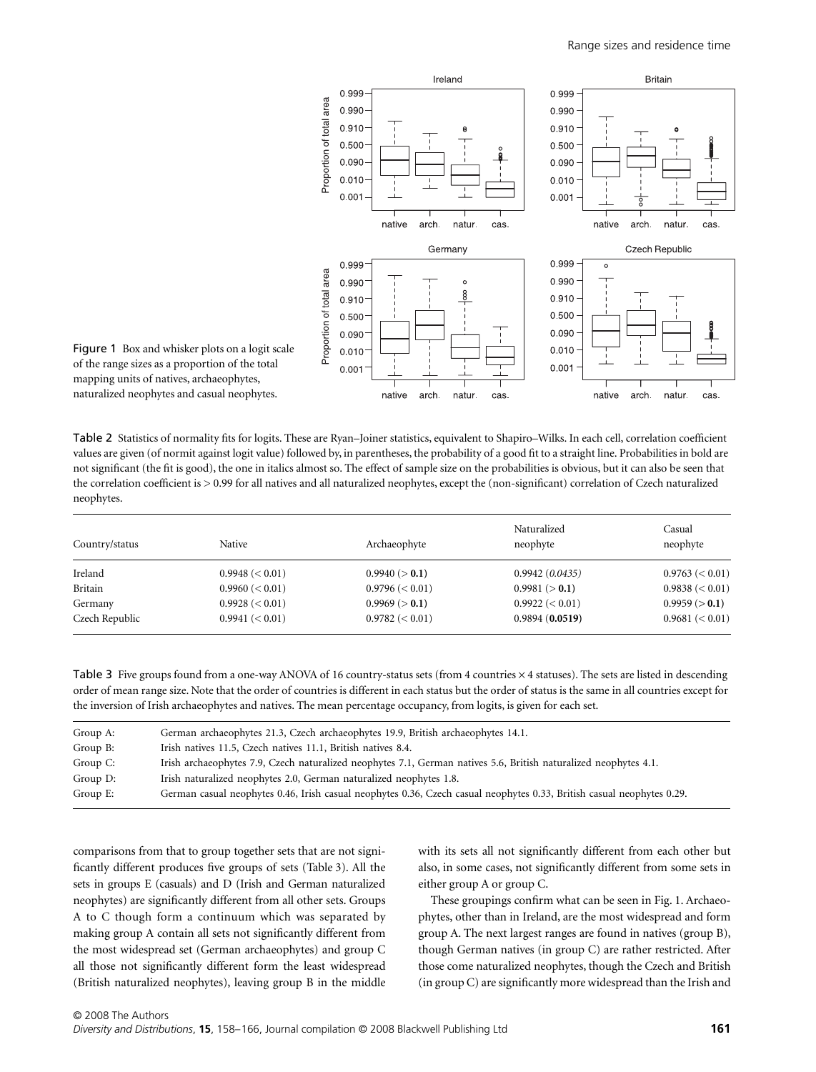

Figure 1 Box and whisker plots on a logit scale of the range sizes as a proportion of the total mapping units of natives, archaeophytes, naturalized neophytes and casual neophytes.

Table 2 Statistics of normality fits for logits. These are Ryan–Joiner statistics, equivalent to Shapiro–Wilks. In each cell, correlation coefficient values are given (of normit against logit value) followed by, in parentheses, the probability of a good fit to a straight line. Probabilities in bold are not significant (the fit is good), the one in italics almost so. The effect of sample size on the probabilities is obvious, but it can also be seen that the correlation coefficient is > 0.99 for all natives and all naturalized neophytes, except the (non-significant) correlation of Czech naturalized neophytes.

| Country/status | Native             | Archaeophyte       | Naturalized<br>neophyte | Casual<br>neophyte |
|----------------|--------------------|--------------------|-------------------------|--------------------|
| Ireland        | 0.9948 (< 0.01)    | 0.9940 (> 0.1)     | 0.9942(0.0435)          | $0.9763 \leq 0.01$ |
| Britain        | $0.9960 \leq 0.01$ | $0.9796 \leq 0.01$ | 0.9981 (> 0.1)          | $0.9838 \le 0.01$  |
| Germany        | $0.9928 \le 0.01$  | 0.9969 (> 0.1)     | $0.9922 \leq 0.01$      | 0.9959 (> 0.1)     |
| Czech Republic | 0.9941 (< 0.01)    | $0.9782 \leq 0.01$ | 0.9894(0.0519)          | 0.9681 (< 0.01)    |

Table 3 Five groups found from a one-way ANOVA of 16 country-status sets (from 4 countries  $\times$  4 statuses). The sets are listed in descending order of mean range size. Note that the order of countries is different in each status but the order of status is the same in all countries except for the inversion of Irish archaeophytes and natives. The mean percentage occupancy, from logits, is given for each set.

| Group A: | German archaeophytes 21.3, Czech archaeophytes 19.9, British archaeophytes 14.1.                                       |
|----------|------------------------------------------------------------------------------------------------------------------------|
| Group B: | Irish natives 11.5, Czech natives 11.1, British natives 8.4.                                                           |
| Group C: | Irish archaeophytes 7.9, Czech naturalized neophytes 7.1, German natives 5.6, British naturalized neophytes 4.1.       |
| Group D: | Irish naturalized neophytes 2.0, German naturalized neophytes 1.8.                                                     |
| Group E: | German casual neophytes 0.46, Irish casual neophytes 0.36, Czech casual neophytes 0.33, British casual neophytes 0.29. |

comparisons from that to group together sets that are not significantly different produces five groups of sets (Table 3). All the sets in groups E (casuals) and D (Irish and German naturalized neophytes) are significantly different from all other sets. Groups A to C though form a continuum which was separated by making group A contain all sets not significantly different from the most widespread set (German archaeophytes) and group C all those not significantly different form the least widespread (British naturalized neophytes), leaving group B in the middle with its sets all not significantly different from each other but also, in some cases, not significantly different from some sets in either group A or group C.

These groupings confirm what can be seen in Fig. 1. Archaeophytes, other than in Ireland, are the most widespread and form group A. The next largest ranges are found in natives (group B), though German natives (in group C) are rather restricted. After those come naturalized neophytes, though the Czech and British (in group C) are significantly more widespread than the Irish and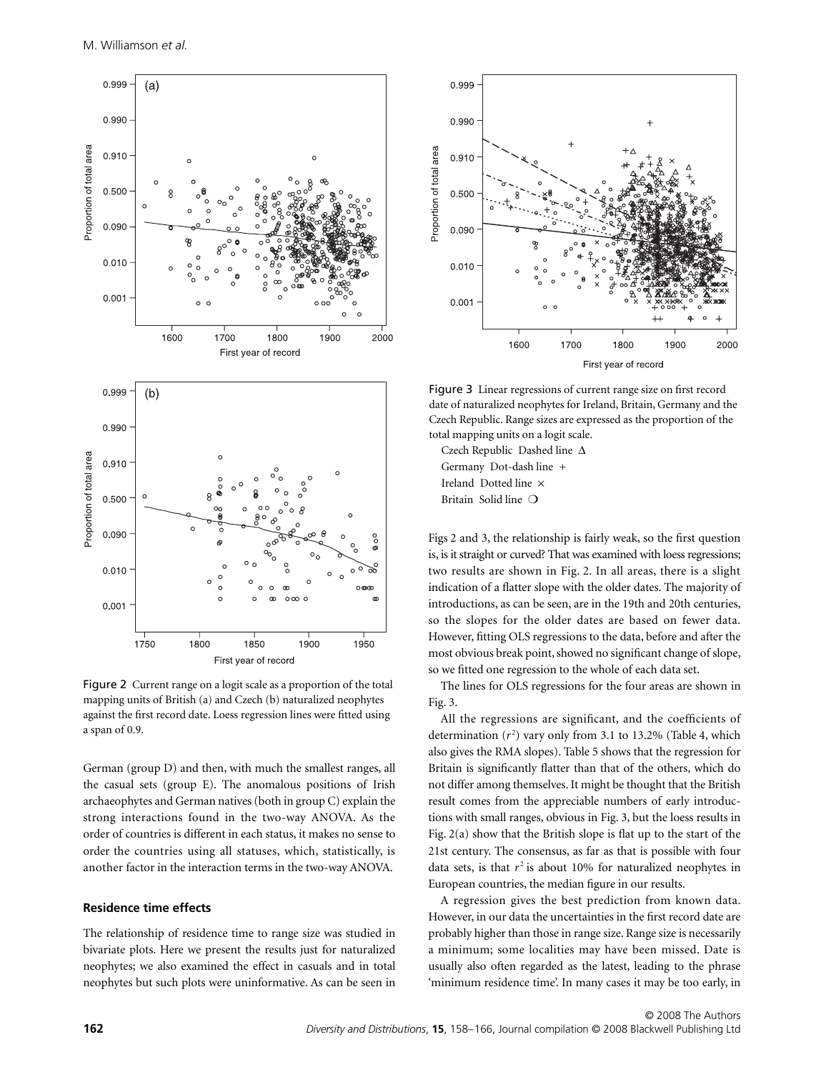

Figure 2 Current range on a logit scale as a proportion of the total mapping units of British (a) and Czech (b) naturalized neophytes against the first record date. Loess regression lines were fitted using a span of 0.9.

German (group D) and then, with much the smallest ranges, all the casual sets (group E). The anomalous positions of Irish archaeophytes and German natives (both in group C) explain the strong interactions found in the two-way ANOVA. As the order of countries is different in each status, it makes no sense to order the countries using all statuses, which, statistically, is another factor in the interaction terms in the two-way ANOVA.

#### **Residence time effects**

The relationship of residence time to range size was studied in bivariate plots. Here we present the results just for naturalized neophytes; we also examined the effect in casuals and in total neophytes but such plots were uninformative. As can be seen in



Figure 3 Linear regressions of current range size on first record date of naturalized neophytes for Ireland, Britain, Germany and the Czech Republic. Range sizes are expressed as the proportion of the total mapping units on a logit scale.

Czech Republic Dashed line Δ Germany Dot-dash line + Ireland Dotted line × Britain Solid line ❍

Figs 2 and 3, the relationship is fairly weak, so the first question is, is it straight or curved? That was examined with loess regressions; two results are shown in Fig. 2. In all areas, there is a slight indication of a flatter slope with the older dates. The majority of introductions, as can be seen, are in the 19th and 20th centuries, so the slopes for the older dates are based on fewer data. However, fitting OLS regressions to the data, before and after the most obvious break point, showed no significant change of slope, so we fitted one regression to the whole of each data set.

The lines for OLS regressions for the four areas are shown in Fig. 3.

All the regressions are significant, and the coefficients of determination  $(r^2)$  vary only from 3.1 to 13.2% (Table 4, which also gives the RMA slopes). Table 5 shows that the regression for Britain is significantly flatter than that of the others, which do not differ among themselves. It might be thought that the British result comes from the appreciable numbers of early introductions with small ranges, obvious in Fig. 3, but the loess results in Fig. 2(a) show that the British slope is flat up to the start of the 21st century. The consensus, as far as that is possible with four data sets, is that  $r^2$  is about 10% for naturalized neophytes in European countries, the median figure in our results.

A regression gives the best prediction from known data. However, in our data the uncertainties in the first record date are probably higher than those in range size. Range size is necessarily a minimum; some localities may have been missed. Date is usually also often regarded as the latest, leading to the phrase 'minimum residence time'. In many cases it may be too early, in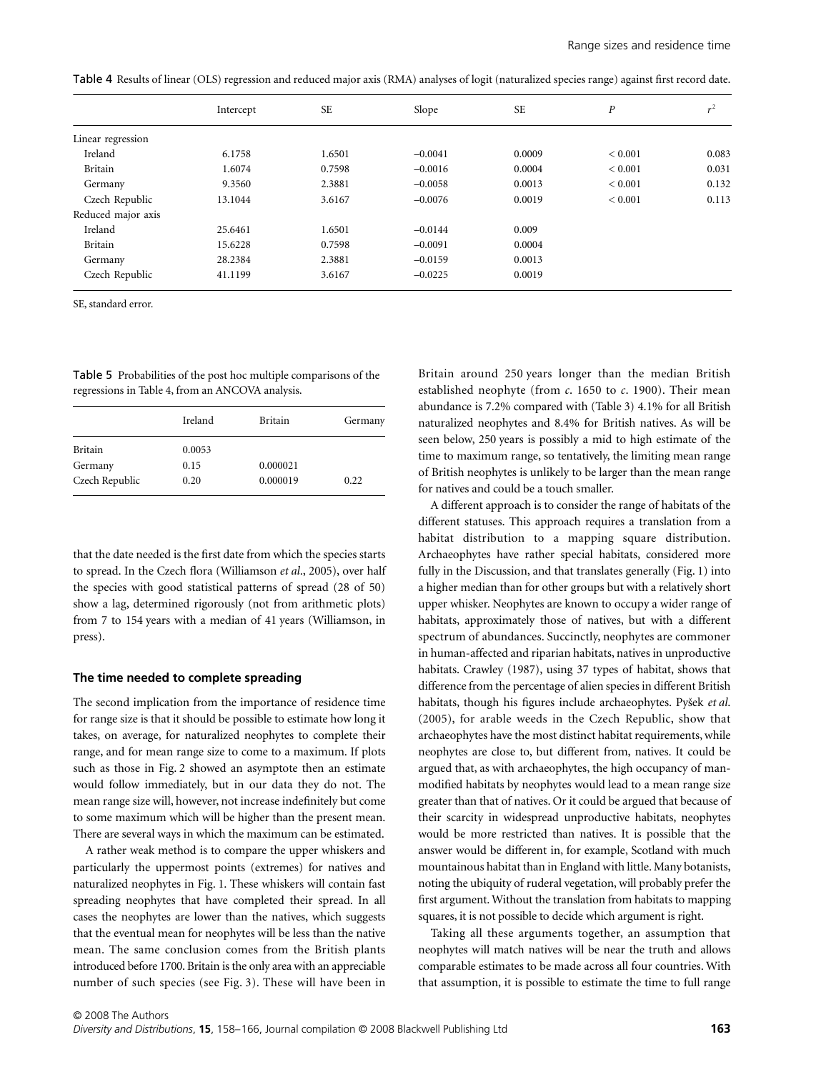Table 4Results of linear (OLS) regression and reduced major axis (RMA) analyses of logit (naturalized species range) against first record date.

|                    | Intercept | <b>SE</b> | Slope     | <b>SE</b> | Р           | $r^2$ |
|--------------------|-----------|-----------|-----------|-----------|-------------|-------|
| Linear regression  |           |           |           |           |             |       |
| Ireland            | 6.1758    | 1.6501    | $-0.0041$ | 0.0009    | ${}< 0.001$ | 0.083 |
| Britain            | 1.6074    | 0.7598    | $-0.0016$ | 0.0004    | ${}< 0.001$ | 0.031 |
| Germany            | 9.3560    | 2.3881    | $-0.0058$ | 0.0013    | ${}< 0.001$ | 0.132 |
| Czech Republic     | 13.1044   | 3.6167    | $-0.0076$ | 0.0019    | ${}< 0.001$ | 0.113 |
| Reduced major axis |           |           |           |           |             |       |
| Ireland            | 25.6461   | 1.6501    | $-0.0144$ | 0.009     |             |       |
| Britain            | 15.6228   | 0.7598    | $-0.0091$ | 0.0004    |             |       |
| Germany            | 28.2384   | 2.3881    | $-0.0159$ | 0.0013    |             |       |
| Czech Republic     | 41.1199   | 3.6167    | $-0.0225$ | 0.0019    |             |       |

SE, standard error.

Table 5 Probabilities of the post hoc multiple comparisons of the regressions in Table 4, from an ANCOVA analysis.

|                | Ireland | <b>Britain</b> | Germany |
|----------------|---------|----------------|---------|
| <b>Britain</b> | 0.0053  |                |         |
| Germany        | 0.15    | 0.000021       |         |
| Czech Republic | 0.20    | 0.000019       | 0.22    |

that the date needed is the first date from which the species starts to spread. In the Czech flora (Williamson *et al*., 2005), over half the species with good statistical patterns of spread (28 of 50) show a lag, determined rigorously (not from arithmetic plots) from 7 to 154 years with a median of 41 years (Williamson, in press).

#### **The time needed to complete spreading**

The second implication from the importance of residence time for range size is that it should be possible to estimate how long it takes, on average, for naturalized neophytes to complete their range, and for mean range size to come to a maximum. If plots such as those in Fig. 2 showed an asymptote then an estimate would follow immediately, but in our data they do not. The mean range size will, however, not increase indefinitely but come to some maximum which will be higher than the present mean. There are several ways in which the maximum can be estimated.

A rather weak method is to compare the upper whiskers and particularly the uppermost points (extremes) for natives and naturalized neophytes in Fig. 1. These whiskers will contain fast spreading neophytes that have completed their spread. In all cases the neophytes are lower than the natives, which suggests that the eventual mean for neophytes will be less than the native mean. The same conclusion comes from the British plants introduced before 1700. Britain is the only area with an appreciable number of such species (see Fig. 3). These will have been in Britain around 250 years longer than the median British established neophyte (from *c*. 1650 to *c*. 1900). Their mean abundance is 7.2% compared with (Table 3) 4.1% for all British naturalized neophytes and 8.4% for British natives. As will be seen below, 250 years is possibly a mid to high estimate of the time to maximum range, so tentatively, the limiting mean range of British neophytes is unlikely to be larger than the mean range for natives and could be a touch smaller.

A different approach is to consider the range of habitats of the different statuses. This approach requires a translation from a habitat distribution to a mapping square distribution. Archaeophytes have rather special habitats, considered more fully in the Discussion, and that translates generally (Fig. 1) into a higher median than for other groups but with a relatively short upper whisker. Neophytes are known to occupy a wider range of habitats, approximately those of natives, but with a different spectrum of abundances. Succinctly, neophytes are commoner in human-affected and riparian habitats, natives in unproductive habitats. Crawley (1987), using 37 types of habitat, shows that difference from the percentage of alien species in different British habitats, though his figures include archaeophytes. Py*Í*ek *et al*. (2005), for arable weeds in the Czech Republic, show that archaeophytes have the most distinct habitat requirements, while neophytes are close to, but different from, natives. It could be argued that, as with archaeophytes, the high occupancy of manmodified habitats by neophytes would lead to a mean range size greater than that of natives. Or it could be argued that because of their scarcity in widespread unproductive habitats, neophytes would be more restricted than natives. It is possible that the answer would be different in, for example, Scotland with much mountainous habitat than in England with little. Many botanists, noting the ubiquity of ruderal vegetation, will probably prefer the first argument. Without the translation from habitats to mapping squares, it is not possible to decide which argument is right.

Taking all these arguments together, an assumption that neophytes will match natives will be near the truth and allows comparable estimates to be made across all four countries. With that assumption, it is possible to estimate the time to full range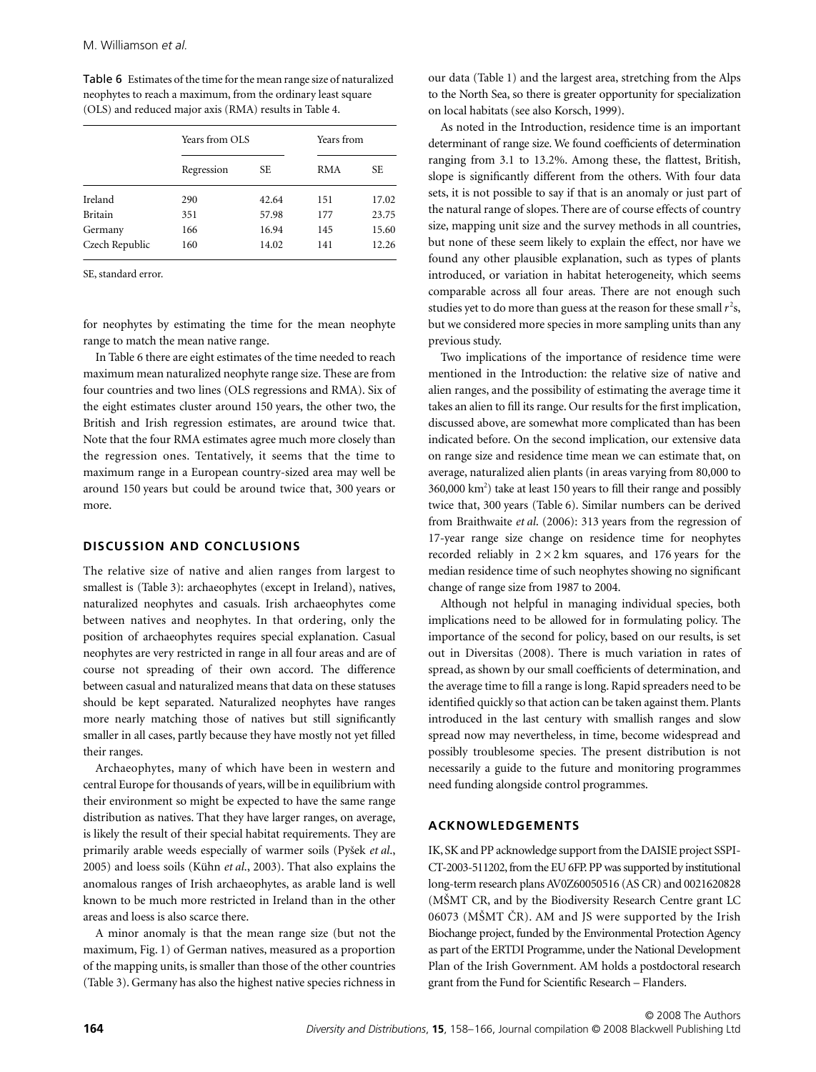Table 6 Estimates of the time for the mean range size of naturalized neophytes to reach a maximum, from the ordinary least square (OLS) and reduced major axis (RMA) results in Table 4.

|                | Years from OLS |       | Years from |       |
|----------------|----------------|-------|------------|-------|
|                | Regression     | SЕ    | RMA        | SE.   |
| Ireland        | 290            | 42.64 | 151        | 17.02 |
| <b>Britain</b> | 351            | 57.98 | 177        | 23.75 |
| Germany        | 166            | 16.94 | 145        | 15.60 |
| Czech Republic | 160            | 14.02 | 141        | 12.26 |

SE, standard error.

for neophytes by estimating the time for the mean neophyte range to match the mean native range.

In Table 6 there are eight estimates of the time needed to reach maximum mean naturalized neophyte range size. These are from four countries and two lines (OLS regressions and RMA). Six of the eight estimates cluster around 150 years, the other two, the British and Irish regression estimates, are around twice that. Note that the four RMA estimates agree much more closely than the regression ones. Tentatively, it seems that the time to maximum range in a European country-sized area may well be around 150 years but could be around twice that, 300 years or more.

### **DISCUSSION AND CONCLUSIONS**

The relative size of native and alien ranges from largest to smallest is (Table 3): archaeophytes (except in Ireland), natives, naturalized neophytes and casuals. Irish archaeophytes come between natives and neophytes. In that ordering, only the position of archaeophytes requires special explanation. Casual neophytes are very restricted in range in all four areas and are of course not spreading of their own accord. The difference between casual and naturalized means that data on these statuses should be kept separated. Naturalized neophytes have ranges more nearly matching those of natives but still significantly smaller in all cases, partly because they have mostly not yet filled their ranges.

Archaeophytes, many of which have been in western and central Europe for thousands of years, will be in equilibrium with their environment so might be expected to have the same range distribution as natives. That they have larger ranges, on average, is likely the result of their special habitat requirements. They are primarily arable weeds especially of warmer soils (Py*Í*ek *et al*., 2005) and loess soils (Kühn *et al*., 2003). That also explains the anomalous ranges of Irish archaeophytes, as arable land is well known to be much more restricted in Ireland than in the other areas and loess is also scarce there.

A minor anomaly is that the mean range size (but not the maximum, Fig. 1) of German natives, measured as a proportion of the mapping units, is smaller than those of the other countries (Table 3). Germany has also the highest native species richness in

our data (Table 1) and the largest area, stretching from the Alps to the North Sea, so there is greater opportunity for specialization on local habitats (see also Korsch, 1999).

As noted in the Introduction, residence time is an important determinant of range size. We found coefficients of determination ranging from 3.1 to 13.2%. Among these, the flattest, British, slope is significantly different from the others. With four data sets, it is not possible to say if that is an anomaly or just part of the natural range of slopes. There are of course effects of country size, mapping unit size and the survey methods in all countries, but none of these seem likely to explain the effect, nor have we found any other plausible explanation, such as types of plants introduced, or variation in habitat heterogeneity, which seems comparable across all four areas. There are not enough such studies yet to do more than guess at the reason for these small  $r^2$ s, but we considered more species in more sampling units than any previous study.

Two implications of the importance of residence time were mentioned in the Introduction: the relative size of native and alien ranges, and the possibility of estimating the average time it takes an alien to fill its range. Our results for the first implication, discussed above, are somewhat more complicated than has been indicated before. On the second implication, our extensive data on range size and residence time mean we can estimate that, on average, naturalized alien plants (in areas varying from 80,000 to 360,000 km<sup>2</sup>) take at least 150 years to fill their range and possibly twice that, 300 years (Table 6). Similar numbers can be derived from Braithwaite *et al*. (2006): 313 years from the regression of 17-year range size change on residence time for neophytes recorded reliably in  $2 \times 2$  km squares, and 176 years for the median residence time of such neophytes showing no significant change of range size from 1987 to 2004.

Although not helpful in managing individual species, both implications need to be allowed for in formulating policy. The importance of the second for policy, based on our results, is set out in Diversitas (2008). There is much variation in rates of spread, as shown by our small coefficients of determination, and the average time to fill a range is long. Rapid spreaders need to be identified quickly so that action can be taken against them. Plants introduced in the last century with smallish ranges and slow spread now may nevertheless, in time, become widespread and possibly troublesome species. The present distribution is not necessarily a guide to the future and monitoring programmes need funding alongside control programmes.

### **ACKNOWLEDGEMENTS**

IK, SK and PP acknowledge support from the DAISIE project SSPI-CT-2003-511202, from the EU 6FP. PP was supported by institutional long-term research plans AV0Z60050516 (AS CR) and 0021620828 (MSMT CR, and by the Biodiversity Research Centre grant LC  $06073$  (MŠMT  $\check{C}R$ ). AM and JS were supported by the Irish Biochange project, funded by the Environmental Protection Agency as part of the ERTDI Programme, under the National Development Plan of the Irish Government. AM holds a postdoctoral research grant from the Fund for Scientific Research – Flanders.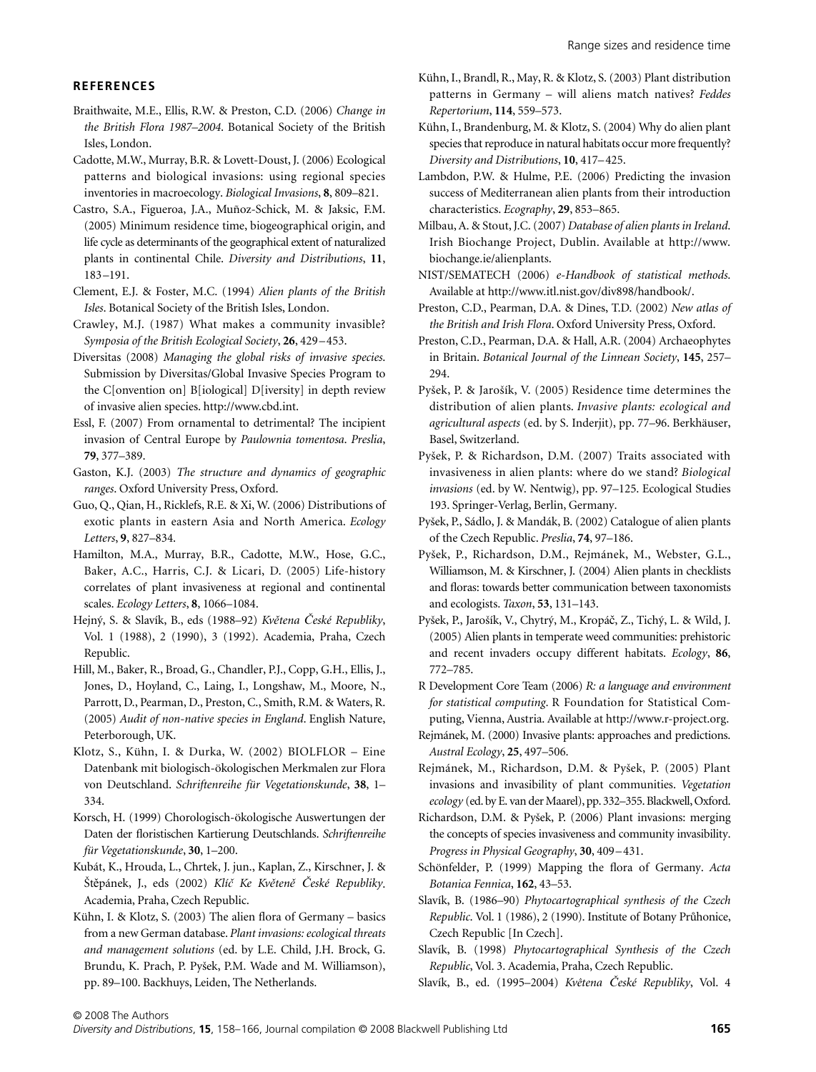#### **REFERENCES**

- Braithwaite, M.E., Ellis, R.W. & Preston, C.D. (2006) *Change in the British Flora 1987–2004*. Botanical Society of the British Isles, London.
- Cadotte, M.W., Murray, B.R. & Lovett-Doust, J. (2006) Ecological patterns and biological invasions: using regional species inventories in macroecology. *Biological Invasions*, **8**, 809–821.
- Castro, S.A., Figueroa, J.A., Muñoz-Schick, M. & Jaksic, F.M. (2005) Minimum residence time, biogeographical origin, and life cycle as determinants of the geographical extent of naturalized plants in continental Chile. *Diversity and Distributions*, **11**, 183–191.
- Clement, E.J. & Foster, M.C. (1994) *Alien plants of the British Isles*. Botanical Society of the British Isles, London.
- Crawley, M.J. (1987) What makes a community invasible? *Symposia of the British Ecological Society*, **26**, 429–453.
- Diversitas (2008) *Managing the global risks of invasive species*. Submission by Diversitas/Global Invasive Species Program to the C[onvention on] B[iological] D[iversity] in depth review of invasive alien species. [http://www.cbd.int.](http://www.cbd.int)
- Essl, F. (2007) From ornamental to detrimental? The incipient invasion of Central Europe by *Paulownia tomentosa*. *Preslia*, **79**, 377–389.
- Gaston, K.J. (2003) *The structure and dynamics of geographic ranges*. Oxford University Press, Oxford.
- Guo, Q., Qian, H., Ricklefs, R.E. & Xi, W. (2006) Distributions of exotic plants in eastern Asia and North America. *Ecology Letters*, **9**, 827–834.
- Hamilton, M.A., Murray, B.R., Cadotte, M.W., Hose, G.C., Baker, A.C., Harris, C.J. & Licari, D. (2005) Life-history correlates of plant invasiveness at regional and continental scales. *Ecology Letters*, **8**, 1066–1084.
- Hejny, S. & Slavík, B., eds (1988–92) *Kv*e*tena* Ç*eské Republiky*, Vol. 1 (1988), 2 (1990), 3 (1992). Academia, Praha, Czech Republic.
- Hill, M., Baker, R., Broad, G., Chandler, P.J., Copp, G.H., Ellis, J., Jones, D., Hoyland, C., Laing, I., Longshaw, M., Moore, N., Parrott, D., Pearman, D., Preston, C., Smith, R.M. & Waters, R. (2005) *Audit of non-native species in England*. English Nature, Peterborough, UK.
- Klotz, S., Kühn, I. & Durka, W. (2002) BIOLFLOR Eine Datenbank mit biologisch-ökologischen Merkmalen zur Flora von Deutschland. *Schriftenreihe für Vegetationskunde*, **38**, 1– 334.
- Korsch, H. (1999) Chorologisch-ökologische Auswertungen der Daten der floristischen Kartierung Deutschlands. *Schriftenreihe für Vegetationskunde*, **30**, 1–200.
- Kubát, K., Hrouda, L., Chrtek, J. jun., Kaplan, Z., Kirschner, J. & St´pánek, J., eds (2002) *Klí*c *Ke Kv*e*ten*e Ç*eské Republiky*. Academia, Praha, Czech Republic.
- Kühn, I. & Klotz, S. (2003) The alien flora of Germany basics from a new German database. *Plant invasions: ecological threats and management solutions* (ed. by L.E. Child, J.H. Brock, G. Brundu, K. Prach, P. Pysek, P.M. Wade and M. Williamson), pp. 89–100. Backhuys, Leiden, The Netherlands.
- Kühn, I., Brandl, R., May, R. & Klotz, S. (2003) Plant distribution patterns in Germany – will aliens match natives? *Feddes Repertorium*, **114**, 559–573.
- Kühn, I., Brandenburg, M. & Klotz, S. (2004) Why do alien plant species that reproduce in natural habitats occur more frequently? *Diversity and Distributions*, **10**, 417–425.
- Lambdon, P.W. & Hulme, P.E. (2006) Predicting the invasion success of Mediterranean alien plants from their introduction characteristics. *Ecography*, **29**, 853–865.
- Milbau, A. & Stout, J.C. (2007) *Database of alien plants in Ireland*. [Irish Biochange Project, Dublin. Available at http://www.](http://www.biochange.ie/alienplants) biochange.ie/alienplants.
- NIST/SEMATECH (2006) *e-Handbook of statistical methods*. Available at [http://www.itl.nist.gov/div898/handbook/.](http://www.itl.nist.gov/div898/handbook/)
- Preston, C.D., Pearman, D.A. & Dines, T.D. (2002) *New atlas of the British and Irish Flora*. Oxford University Press, Oxford.
- Preston, C.D., Pearman, D.A. & Hall, A.R. (2004) Archaeophytes in Britain. *Botanical Journal of the Linnean Society*, **145**, 257– 294.
- Pysek, P. & Jarosík, V. (2005) Residence time determines the distribution of alien plants. *Invasive plants: ecological and agricultural aspects* (ed. by S. Inderjit), pp. 77–96. Berkhäuser, Basel, Switzerland.
- Pysek, P. & Richardson, D.M. (2007) Traits associated with invasiveness in alien plants: where do we stand? *Biological invasions* (ed. by W. Nentwig), pp. 97–125. Ecological Studies 193. Springer-Verlag, Berlin, Germany.
- Pysek, P., Sádlo, J. & Mandák, B. (2002) Catalogue of alien plants of the Czech Republic. *Preslia*, **74**, 97–186.
- Pysek, P., Richardson, D.M., Rejmánek, M., Webster, G.L., Williamson, M. & Kirschner, J. (2004) Alien plants in checklists and floras: towards better communication between taxonomists and ecologists. *Taxon*, **53**, 131–143.
- Pysek, P., Jarosík, V., Chytry, M., Kropáç, Z., Tichy, L. & Wild, J. (2005) Alien plants in temperate weed communities: prehistoric and recent invaders occupy different habitats. *Ecology*, **86**, 772–785.
- R Development Core Team (2006) *R: a language and environment for statistical computing*. R Foundation for Statistical Computing, Vienna, Austria. Available at [http://www.r-project.org.](http://www.r-project.org)
- Rejmánek, M. (2000) Invasive plants: approaches and predictions. *Austral Ecology*, **25**, 497–506.
- Rejmánek, M., Richardson, D.M. & Pysek, P. (2005) Plant invasions and invasibility of plant communities. *Vegetation ecology* (ed. by E. van der Maarel), pp. 332–355. Blackwell, Oxford.
- Richardson, D.M. & Pysek, P. (2006) Plant invasions: merging the concepts of species invasiveness and community invasibility. *Progress in Physical Geography*, **30**, 409–431.
- Schönfelder, P. (1999) Mapping the flora of Germany. *Acta Botanica Fennica*, **162**, 43–53.
- Slavík, B. (1986–90) *Phytocartographical synthesis of the Czech Republic*. Vol. 1 (1986), 2 (1990). Institute of Botany Pr*u*honice, Czech Republic [In Czech].
- Slavík, B. (1998) *Phytocartographical Synthesis of the Czech Republic*, Vol. 3. Academia, Praha, Czech Republic.
- Slavík, B., ed. (1995–2004) *Kvêtena* Ç*eské Republiky*, Vol. 4